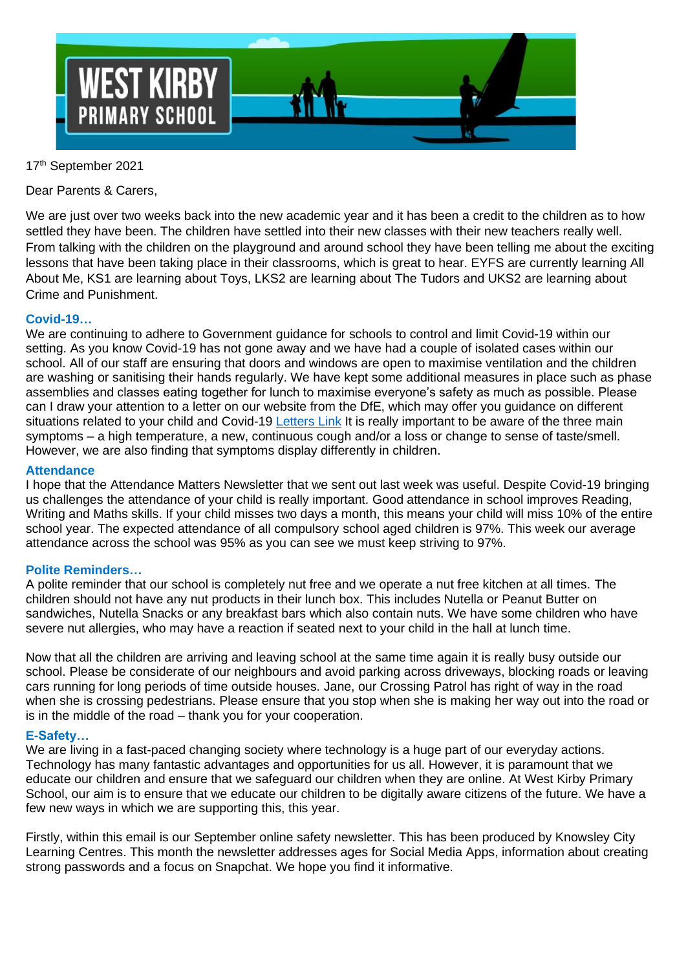

## 17 th September 2021

Dear Parents & Carers,

We are just over two weeks back into the new academic year and it has been a credit to the children as to how settled they have been. The children have settled into their new classes with their new teachers really well. From talking with the children on the playground and around school they have been telling me about the exciting lessons that have been taking place in their classrooms, which is great to hear. EYFS are currently learning All About Me, KS1 are learning about Toys, LKS2 are learning about The Tudors and UKS2 are learning about Crime and Punishment.

### **Covid-19…**

We are continuing to adhere to Government guidance for schools to control and limit Covid-19 within our setting. As you know Covid-19 has not gone away and we have had a couple of isolated cases within our school. All of our staff are ensuring that doors and windows are open to maximise ventilation and the children are washing or sanitising their hands regularly. We have kept some additional measures in place such as phase assemblies and classes eating together for lunch to maximise everyone's safety as much as possible. Please can I draw your attention to a letter on our website from the DfE, which may offer you guidance on different situations related to your child and Covid-19 [Letters Link](https://westkirby-primary.eschools.co.uk/website/communication_to_parents/17369) It is really important to be aware of the three main symptoms – a high temperature, a new, continuous cough and/or a loss or change to sense of taste/smell. However, we are also finding that symptoms display differently in children.

### **Attendance**

I hope that the Attendance Matters Newsletter that we sent out last week was useful. Despite Covid-19 bringing us challenges the attendance of your child is really important. Good attendance in school improves Reading, Writing and Maths skills. If your child misses two days a month, this means your child will miss 10% of the entire school year. The expected attendance of all compulsory school aged children is 97%. This week our average attendance across the school was 95% as you can see we must keep striving to 97%.

### **Polite Reminders…**

A polite reminder that our school is completely nut free and we operate a nut free kitchen at all times. The children should not have any nut products in their lunch box. This includes Nutella or Peanut Butter on sandwiches, Nutella Snacks or any breakfast bars which also contain nuts. We have some children who have severe nut allergies, who may have a reaction if seated next to your child in the hall at lunch time.

Now that all the children are arriving and leaving school at the same time again it is really busy outside our school. Please be considerate of our neighbours and avoid parking across driveways, blocking roads or leaving cars running for long periods of time outside houses. Jane, our Crossing Patrol has right of way in the road when she is crossing pedestrians. Please ensure that you stop when she is making her way out into the road or is in the middle of the road – thank you for your cooperation.

### **E-Safety…**

We are living in a fast-paced changing society where technology is a huge part of our everyday actions. Technology has many fantastic advantages and opportunities for us all. However, it is paramount that we educate our children and ensure that we safeguard our children when they are online. At West Kirby Primary School, our aim is to ensure that we educate our children to be digitally aware citizens of the future. We have a few new ways in which we are supporting this, this year.

Firstly, within this email is our September online safety newsletter. This has been produced by Knowsley City Learning Centres. This month the newsletter addresses ages for Social Media Apps, information about creating strong passwords and a focus on Snapchat. We hope you find it informative.